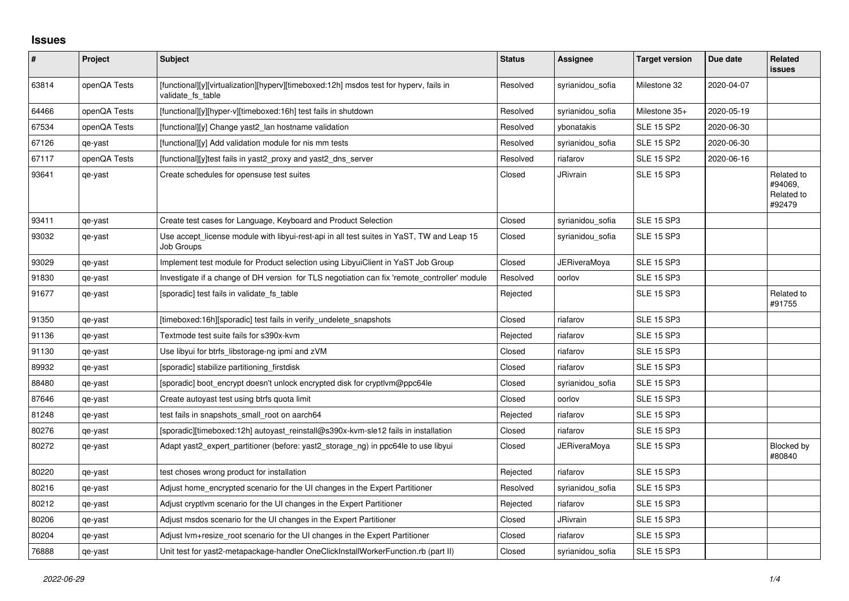## **Issues**

| $\sharp$ | Project      | <b>Subject</b>                                                                                              | <b>Status</b> | Assignee            | <b>Target version</b> | Due date   | Related<br><b>issues</b>                      |
|----------|--------------|-------------------------------------------------------------------------------------------------------------|---------------|---------------------|-----------------------|------------|-----------------------------------------------|
| 63814    | openQA Tests | [functional][y][virtualization][hyperv][timeboxed:12h] msdos test for hyperv, fails in<br>validate fs table | Resolved      | syrianidou sofia    | Milestone 32          | 2020-04-07 |                                               |
| 64466    | openQA Tests | [functional][y][hyper-v][timeboxed:16h] test fails in shutdown                                              | Resolved      | syrianidou_sofia    | Milestone 35+         | 2020-05-19 |                                               |
| 67534    | openQA Tests | [functional][y] Change yast2 lan hostname validation                                                        | Resolved      | vbonatakis          | <b>SLE 15 SP2</b>     | 2020-06-30 |                                               |
| 67126    | qe-yast      | [functional][y] Add validation module for nis mm tests                                                      | Resolved      | syrianidou_sofia    | <b>SLE 15 SP2</b>     | 2020-06-30 |                                               |
| 67117    | openQA Tests | [functional][y]test fails in yast2_proxy and yast2_dns_server                                               | Resolved      | riafarov            | <b>SLE 15 SP2</b>     | 2020-06-16 |                                               |
| 93641    | qe-yast      | Create schedules for opensuse test suites                                                                   | Closed        | JRivrain            | <b>SLE 15 SP3</b>     |            | Related to<br>#94069,<br>Related to<br>#92479 |
| 93411    | qe-yast      | Create test cases for Language, Keyboard and Product Selection                                              | Closed        | syrianidou_sofia    | <b>SLE 15 SP3</b>     |            |                                               |
| 93032    | qe-yast      | Use accept license module with libyui-rest-api in all test suites in YaST, TW and Leap 15<br>Job Groups     | Closed        | syrianidou sofia    | <b>SLE 15 SP3</b>     |            |                                               |
| 93029    | qe-yast      | Implement test module for Product selection using LibyuiClient in YaST Job Group                            | Closed        | <b>JERiveraMoya</b> | <b>SLE 15 SP3</b>     |            |                                               |
| 91830    | qe-yast      | Investigate if a change of DH version for TLS negotiation can fix 'remote_controller' module                | Resolved      | oorlov              | <b>SLE 15 SP3</b>     |            |                                               |
| 91677    | qe-yast      | [sporadic] test fails in validate fs_table                                                                  | Rejected      |                     | <b>SLE 15 SP3</b>     |            | Related to<br>#91755                          |
| 91350    | qe-yast      | [timeboxed:16h][sporadic] test fails in verify_undelete_snapshots                                           | Closed        | riafarov            | <b>SLE 15 SP3</b>     |            |                                               |
| 91136    | qe-yast      | Textmode test suite fails for s390x-kvm                                                                     | Rejected      | riafarov            | <b>SLE 15 SP3</b>     |            |                                               |
| 91130    | qe-yast      | Use libyui for btrfs libstorage-ng ipmi and zVM                                                             | Closed        | riafarov            | <b>SLE 15 SP3</b>     |            |                                               |
| 89932    | qe-yast      | [sporadic] stabilize partitioning_firstdisk                                                                 | Closed        | riafarov            | <b>SLE 15 SP3</b>     |            |                                               |
| 88480    | qe-yast      | [sporadic] boot_encrypt doesn't unlock encrypted disk for cryptlvm@ppc64le                                  | Closed        | syrianidou_sofia    | <b>SLE 15 SP3</b>     |            |                                               |
| 87646    | qe-yast      | Create autoyast test using btrfs quota limit                                                                | Closed        | oorlov              | <b>SLE 15 SP3</b>     |            |                                               |
| 81248    | qe-yast      | test fails in snapshots small root on aarch64                                                               | Rejected      | riafarov            | <b>SLE 15 SP3</b>     |            |                                               |
| 80276    | qe-yast      | [sporadic][timeboxed:12h] autoyast_reinstall@s390x-kvm-sle12 fails in installation                          | Closed        | riafarov            | <b>SLE 15 SP3</b>     |            |                                               |
| 80272    | qe-yast      | Adapt yast2_expert_partitioner (before: yast2_storage_ng) in ppc64le to use libyui                          | Closed        | JERiveraMoya        | <b>SLE 15 SP3</b>     |            | Blocked by<br>#80840                          |
| 80220    | qe-yast      | test choses wrong product for installation                                                                  | Rejected      | riafarov            | <b>SLE 15 SP3</b>     |            |                                               |
| 80216    | qe-yast      | Adjust home encrypted scenario for the UI changes in the Expert Partitioner                                 | Resolved      | syrianidou_sofia    | <b>SLE 15 SP3</b>     |            |                                               |
| 80212    | qe-yast      | Adjust cryptlym scenario for the UI changes in the Expert Partitioner                                       | Rejected      | riafarov            | <b>SLE 15 SP3</b>     |            |                                               |
| 80206    | qe-yast      | Adjust msdos scenario for the UI changes in the Expert Partitioner                                          | Closed        | JRivrain            | <b>SLE 15 SP3</b>     |            |                                               |
| 80204    | qe-yast      | Adjust lvm+resize_root scenario for the UI changes in the Expert Partitioner                                | Closed        | riafarov            | <b>SLE 15 SP3</b>     |            |                                               |
| 76888    | qe-yast      | Unit test for yast2-metapackage-handler OneClickInstallWorkerFunction.rb (part II)                          | Closed        | syrianidou sofia    | <b>SLE 15 SP3</b>     |            |                                               |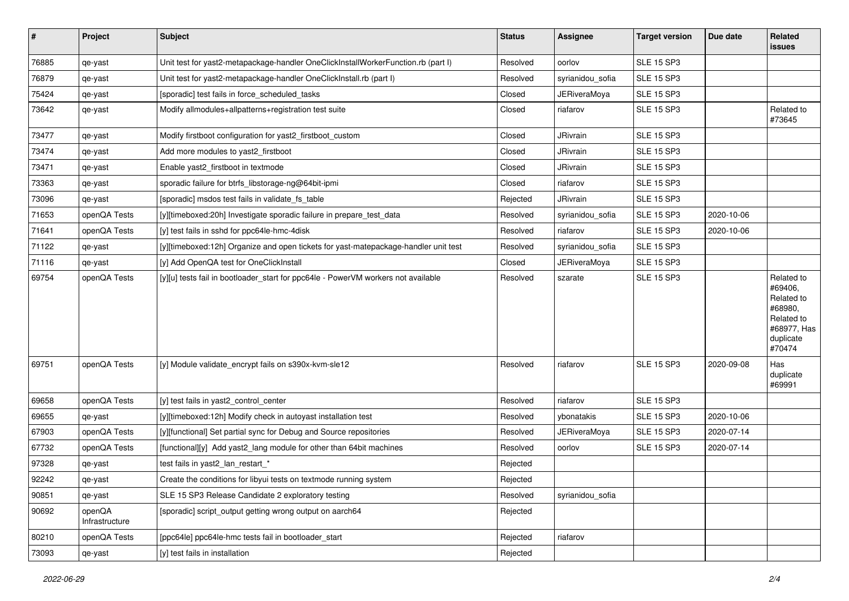| $\vert$ # | Project                  | Subject                                                                             | <b>Status</b> | Assignee            | <b>Target version</b> | Due date   | Related<br><b>issues</b>                                                                           |
|-----------|--------------------------|-------------------------------------------------------------------------------------|---------------|---------------------|-----------------------|------------|----------------------------------------------------------------------------------------------------|
| 76885     | qe-yast                  | Unit test for yast2-metapackage-handler OneClickInstallWorkerFunction.rb (part I)   | Resolved      | oorlov              | <b>SLE 15 SP3</b>     |            |                                                                                                    |
| 76879     | qe-yast                  | Unit test for yast2-metapackage-handler OneClickInstall.rb (part I)                 | Resolved      | syrianidou_sofia    | <b>SLE 15 SP3</b>     |            |                                                                                                    |
| 75424     | qe-yast                  | [sporadic] test fails in force_scheduled_tasks                                      | Closed        | <b>JERiveraMoya</b> | SLE 15 SP3            |            |                                                                                                    |
| 73642     | qe-yast                  | Modify allmodules+allpatterns+registration test suite                               | Closed        | riafarov            | <b>SLE 15 SP3</b>     |            | Related to<br>#73645                                                                               |
| 73477     | qe-yast                  | Modify firstboot configuration for yast2_firstboot_custom                           | Closed        | JRivrain            | <b>SLE 15 SP3</b>     |            |                                                                                                    |
| 73474     | qe-yast                  | Add more modules to yast2 firstboot                                                 | Closed        | JRivrain            | <b>SLE 15 SP3</b>     |            |                                                                                                    |
| 73471     | qe-yast                  | Enable yast2 firstboot in textmode                                                  | Closed        | JRivrain            | <b>SLE 15 SP3</b>     |            |                                                                                                    |
| 73363     | qe-yast                  | sporadic failure for btrfs_libstorage-ng@64bit-ipmi                                 | Closed        | riafarov            | <b>SLE 15 SP3</b>     |            |                                                                                                    |
| 73096     | qe-yast                  | [sporadic] msdos test fails in validate fs table                                    | Rejected      | JRivrain            | <b>SLE 15 SP3</b>     |            |                                                                                                    |
| 71653     | openQA Tests             | [y][timeboxed:20h] Investigate sporadic failure in prepare test data                | Resolved      | syrianidou sofia    | SLE 15 SP3            | 2020-10-06 |                                                                                                    |
| 71641     | openQA Tests             | [y] test fails in sshd for ppc64le-hmc-4disk                                        | Resolved      | riafarov            | <b>SLE 15 SP3</b>     | 2020-10-06 |                                                                                                    |
| 71122     | qe-yast                  | [y][timeboxed:12h] Organize and open tickets for yast-matepackage-handler unit test | Resolved      | syrianidou_sofia    | <b>SLE 15 SP3</b>     |            |                                                                                                    |
| 71116     | qe-yast                  | [y] Add OpenQA test for OneClickInstall                                             | Closed        | JERiveraMoya        | <b>SLE 15 SP3</b>     |            |                                                                                                    |
| 69754     | openQA Tests             | [y][u] tests fail in bootloader start for ppc64le - PowerVM workers not available   | Resolved      | szarate             | SLE 15 SP3            |            | Related to<br>#69406,<br>Related to<br>#68980,<br>Related to<br>#68977, Has<br>duplicate<br>#70474 |
| 69751     | openQA Tests             | [y] Module validate_encrypt fails on s390x-kvm-sle12                                | Resolved      | riafarov            | <b>SLE 15 SP3</b>     | 2020-09-08 | Has<br>duplicate<br>#69991                                                                         |
| 69658     | openQA Tests             | [y] test fails in yast2 control center                                              | Resolved      | riafarov            | <b>SLE 15 SP3</b>     |            |                                                                                                    |
| 69655     | qe-yast                  | [y][timeboxed:12h] Modify check in autoyast installation test                       | Resolved      | vbonatakis          | <b>SLE 15 SP3</b>     | 2020-10-06 |                                                                                                    |
| 67903     | openQA Tests             | [y][functional] Set partial sync for Debug and Source repositories                  | Resolved      | JERiveraMoya        | <b>SLE 15 SP3</b>     | 2020-07-14 |                                                                                                    |
| 67732     | openQA Tests             | [functional][y] Add yast2 lang module for other than 64bit machines                 | Resolved      | oorlov              | <b>SLE 15 SP3</b>     | 2020-07-14 |                                                                                                    |
| 97328     | qe-yast                  | test fails in yast2_lan_restart_*                                                   | Rejected      |                     |                       |            |                                                                                                    |
| 92242     | qe-yast                  | Create the conditions for libyui tests on textmode running system                   | Rejected      |                     |                       |            |                                                                                                    |
| 90851     | qe-yast                  | SLE 15 SP3 Release Candidate 2 exploratory testing                                  | Resolved      | syrianidou_sofia    |                       |            |                                                                                                    |
| 90692     | openQA<br>Infrastructure | [sporadic] script_output getting wrong output on aarch64                            | Rejected      |                     |                       |            |                                                                                                    |
| 80210     | openQA Tests             | [ppc64le] ppc64le-hmc tests fail in bootloader_start                                | Rejected      | riafarov            |                       |            |                                                                                                    |
| 73093     | qe-yast                  | [y] test fails in installation                                                      | Rejected      |                     |                       |            |                                                                                                    |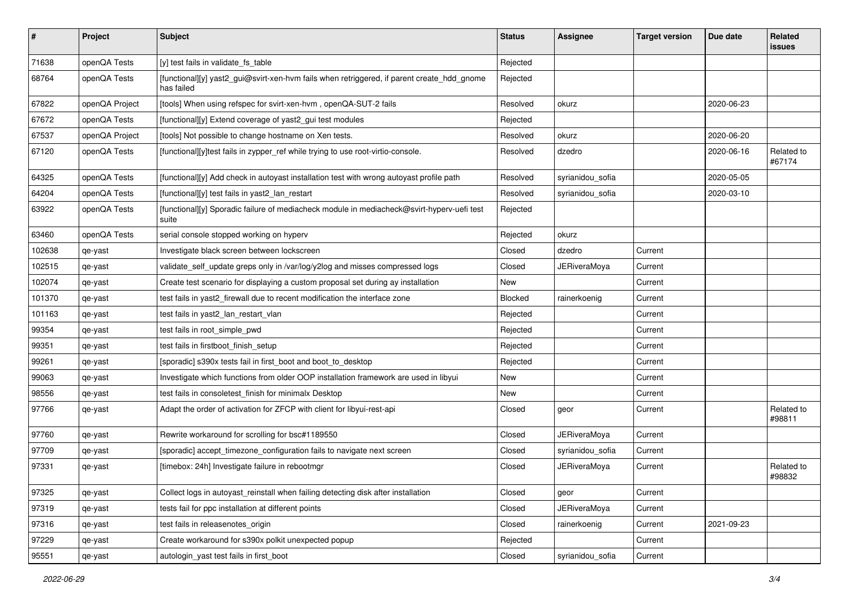| #      | Project        | <b>Subject</b>                                                                                           | <b>Status</b> | Assignee            | <b>Target version</b> | Due date   | Related<br>issues    |
|--------|----------------|----------------------------------------------------------------------------------------------------------|---------------|---------------------|-----------------------|------------|----------------------|
| 71638  | openQA Tests   | [y] test fails in validate_fs_table                                                                      | Rejected      |                     |                       |            |                      |
| 68764  | openQA Tests   | [functional][y] yast2_gui@svirt-xen-hvm fails when retriggered, if parent create_hdd_gnome<br>has failed | Rejected      |                     |                       |            |                      |
| 67822  | openQA Project | [tools] When using refspec for svirt-xen-hvm, openQA-SUT-2 fails                                         | Resolved      | okurz               |                       | 2020-06-23 |                      |
| 67672  | openQA Tests   | [functional][y] Extend coverage of yast2_gui test modules                                                | Rejected      |                     |                       |            |                      |
| 67537  | openQA Project | [tools] Not possible to change hostname on Xen tests.                                                    | Resolved      | okurz               |                       | 2020-06-20 |                      |
| 67120  | openQA Tests   | [functional][y]test fails in zypper_ref while trying to use root-virtio-console.                         | Resolved      | dzedro              |                       | 2020-06-16 | Related to<br>#67174 |
| 64325  | openQA Tests   | [functional][y] Add check in autoyast installation test with wrong autoyast profile path                 | Resolved      | syrianidou sofia    |                       | 2020-05-05 |                      |
| 64204  | openQA Tests   | [functional][y] test fails in yast2_lan_restart                                                          | Resolved      | syrianidou_sofia    |                       | 2020-03-10 |                      |
| 63922  | openQA Tests   | [functional][y] Sporadic failure of mediacheck module in mediacheck@svirt-hyperv-uefi test<br>suite      | Rejected      |                     |                       |            |                      |
| 63460  | openQA Tests   | serial console stopped working on hyperv                                                                 | Rejected      | okurz               |                       |            |                      |
| 102638 | qe-yast        | Investigate black screen between lockscreen                                                              | Closed        | dzedro              | Current               |            |                      |
| 102515 | qe-yast        | validate_self_update greps only in /var/log/y2log and misses compressed logs                             | Closed        | JERiveraMoya        | Current               |            |                      |
| 102074 | qe-yast        | Create test scenario for displaying a custom proposal set during ay installation                         | New           |                     | Current               |            |                      |
| 101370 | qe-yast        | test fails in yast2_firewall due to recent modification the interface zone                               | Blocked       | rainerkoenig        | Current               |            |                      |
| 101163 | qe-yast        | test fails in yast2_lan_restart_vlan                                                                     | Rejected      |                     | Current               |            |                      |
| 99354  | qe-yast        | test fails in root_simple_pwd                                                                            | Rejected      |                     | Current               |            |                      |
| 99351  | qe-yast        | test fails in firstboot finish setup                                                                     | Rejected      |                     | Current               |            |                      |
| 99261  | qe-yast        | [sporadic] s390x tests fail in first_boot and boot_to_desktop                                            | Rejected      |                     | Current               |            |                      |
| 99063  | qe-yast        | Investigate which functions from older OOP installation framework are used in libyui                     | New           |                     | Current               |            |                      |
| 98556  | qe-yast        | test fails in consoletest_finish for minimalx Desktop                                                    | New           |                     | Current               |            |                      |
| 97766  | qe-yast        | Adapt the order of activation for ZFCP with client for libyui-rest-api                                   | Closed        | geor                | Current               |            | Related to<br>#98811 |
| 97760  | qe-yast        | Rewrite workaround for scrolling for bsc#1189550                                                         | Closed        | <b>JERiveraMoya</b> | Current               |            |                      |
| 97709  | qe-yast        | [sporadic] accept_timezone_configuration fails to navigate next screen                                   | Closed        | syrianidou_sofia    | Current               |            |                      |
| 97331  | qe-yast        | [timebox: 24h] Investigate failure in rebootmgr                                                          | Closed        | <b>JERiveraMoya</b> | Current               |            | Related to<br>#98832 |
| 97325  | qe-yast        | Collect logs in autoyast_reinstall when failing detecting disk after installation                        | Closed        | geor                | Current               |            |                      |
| 97319  | qe-yast        | tests fail for ppc installation at different points                                                      | Closed        | <b>JERiveraMoya</b> | Current               |            |                      |
| 97316  | qe-yast        | test fails in releasenotes_origin                                                                        | Closed        | rainerkoenig        | Current               | 2021-09-23 |                      |
| 97229  | qe-yast        | Create workaround for s390x polkit unexpected popup                                                      | Rejected      |                     | Current               |            |                      |
| 95551  | qe-yast        | autologin_yast test fails in first_boot                                                                  | Closed        | syrianidou_sofia    | Current               |            |                      |